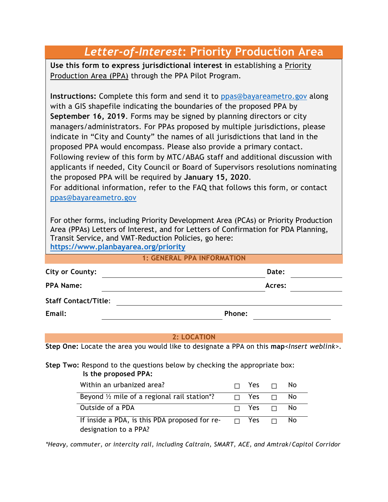# *Letter-of-Interest***: Priority Production Area**

**Use this form to express jurisdictional interest in** establishing a Priority Production Area (PPA) through the PPA Pilot Program.

**Instructions:** Complete this form and send it to [ppas@bayareametro.gov](mailto:ppas@bayareametro.gov) along with a GIS shapefile indicating the boundaries of the proposed PPA by **September 16, 2019**. Forms may be signed by planning directors or city managers/administrators. For PPAs proposed by multiple jurisdictions, please indicate in "City and County" the names of all jurisdictions that land in the proposed PPA would encompass. Please also provide a primary contact. Following review of this form by MTC/ABAG staff and additional discussion with applicants if needed, City Council or Board of Supervisors resolutions nominating the proposed PPA will be required by **January 15, 2020**.

For additional information, refer to the FAQ that follows this form, or contact [ppas@bayareametro.gov](mailto:ppas@bayareametro.gov)

For other forms, including Priority Development Area (PCAs) or Priority Production Area (PPAs) Letters of Interest, and for Letters of Confirmation for PDA Planning, Transit Service, and VMT-Reduction Policies, go here: **<https://www.planbayarea.org/priority>**

**1: GENERAL PPA INFORMATION**

| <b>City or County:</b>      | Date:  |
|-----------------------------|--------|
| <b>PPA Name:</b>            | Acres: |
| <b>Staff Contact/Title:</b> |        |
| Email:                      | Phone: |

### **2: LOCATION**

**Step One:** Locate the area you would like to designate a PPA on this **map***<Insert weblink>*.

**Step Two:** Respond to the questions below by checking the appropriate box: **Is the proposed PPA:**

| Within an urbanized area?                              | $\Box$ Yes $\Box$    |        | No. |
|--------------------------------------------------------|----------------------|--------|-----|
| Beyond $\frac{1}{2}$ mile of a regional rail station*? | $\sqcap$ Yes         |        | No  |
| Outside of a PDA                                       | $\Box$ Yes $\Box$ No |        |     |
| If inside a PDA, is this PDA proposed for re-          | n Yes m              | $\Box$ | Nο  |
| designation to a PPA?                                  |                      |        |     |

*\*Heavy, commuter, or intercity rail, including Caltrain, SMART, ACE, and Amtrak/Capitol Corridor*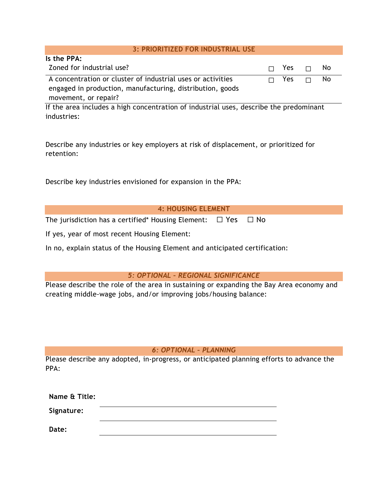### **3: PRIORITIZED FOR INDUSTRIAL USE**

| Is the PPA:                                                 |                   |      |
|-------------------------------------------------------------|-------------------|------|
| Zoned for industrial use?                                   | $\Box$ Yes $\Box$ | - No |
| A concentration or cluster of industrial uses or activities | $\Box$ Yes $\Box$ | - No |
| engaged in production, manufacturing, distribution, goods   |                   |      |
| movement, or repair?                                        |                   |      |

If the area includes a high concentration of industrial uses, describe the predominant industries:

Describe any industries or key employers at risk of displacement, or prioritized for retention:

Describe key industries envisioned for expansion in the PPA:

| <b>4: HOUSING ELEMENT</b> |  |
|---------------------------|--|
|                           |  |

The jurisdiction has a certified\* Housing Element:  $\Box$  Yes  $\Box$  No

If yes, year of most recent Housing Element:

In no, explain status of the Housing Element and anticipated certification:

### *5: OPTIONAL – REGIONAL SIGNIFICANCE*

Please describe the role of the area in sustaining or expanding the Bay Area economy and creating middle-wage jobs, and/or improving jobs/housing balance:

### *6: OPTIONAL – PLANNING*

Please describe any adopted, in-progress, or anticipated planning efforts to advance the PPA:

| Name & Title: |  |
|---------------|--|
| Signature:    |  |
| Date:         |  |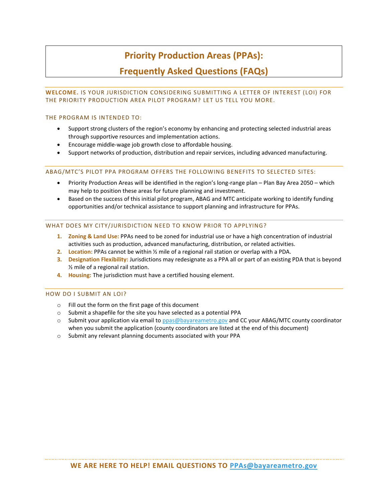# **Priority Production Areas (PPAs):**

### **Frequently Asked Questions (FAQs)**

### **WELCOME.** IS YOUR JURISDICTION CONSIDERING SUBMITTING A LETTER OF INTEREST (LOI) FOR THE PRIORITY PRODUCTION AREA PILOT PROGRAM? LET US TELL YOU MORE.

#### THE PROGRAM IS INTENDED TO:

- Support strong clusters of the region's economy by enhancing and protecting selected industrial areas through supportive resources and implementation actions.
- Encourage middle-wage job growth close to affordable housing.
- Support networks of production, distribution and repair services, including advanced manufacturing.

### ABAG/MTC'S PILOT PPA PROGRAM OFFERS THE FOLLOWING BENEFITS TO SELECTED SITES:

- Priority Production Areas will be identified in the region's long-range plan Plan Bay Area 2050 which may help to position these areas for future planning and investment.
- Based on the success of this initial pilot program, ABAG and MTC anticipate working to identify funding opportunities and/or technical assistance to support planning and infrastructure for PPAs.

#### WHAT DOES MY CITY/JURISDICTION NEED TO KNOW PRIOR TO APPLYING?

- **1. Zoning & Land Use:** PPAs need to be zoned for industrial use or have a high concentration of industrial activities such as production, advanced manufacturing, distribution, or related activities.
- **2. Location:** PPAs cannot be within ½ mile of a regional rail station or overlap with a PDA.
- **3. Designation Flexibility:** Jurisdictions may redesignate as a PPA all or part of an existing PDA that is beyond ½ mile of a regional rail station.
- **4. Housing:** The jurisdiction must have a certified housing element.

#### HOW DO I SUBMIT AN LOI?

- o Fill out the form on the first page of this document
- o Submit a shapefile for the site you have selected as a potential PPA
- o Submit your application via email t[o ppas@bayareametro.gov](mailto:ppas@bayareametro.gov) and CC your ABAG/MTC county coordinator when you submit the application (county coordinators are listed at the end of this document)
- o Submit any relevant planning documents associated with your PPA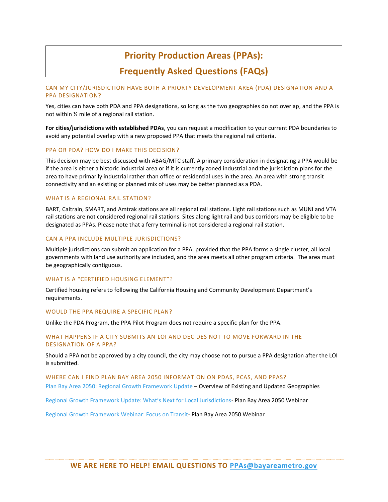## **Priority Production Areas (PPAs):**

## **Frequently Asked Questions (FAQs)**

### CAN MY CITY/JURISDICTION HAVE BOTH A PRIORTY DEVELOPMENT AREA (PDA) DESIGNATION AND A PPA DESIGNATION?

Yes, cities can have both PDA and PPA designations, so long as the two geographies do not overlap, and the PPA is not within ½ mile of a regional rail station.

**For cities/jurisdictions with established PDAs**, you can request a modification to your current PDA boundaries to avoid any potential overlap with a new proposed PPA that meets the regional rail criteria.

#### PPA OR PDA? HOW DO I MAKE THIS DECISION?

This decision may be best discussed with ABAG/MTC staff. A primary consideration in designating a PPA would be if the area is either a historic industrial area or if it is currently zoned industrial and the jurisdiction plans for the area to have primarily industrial rather than office or residential uses in the area. An area with strong transit connectivity and an existing or planned mix of uses may be better planned as a PDA.

### WHAT IS A REGIONAL RAIL STATION?

BART, Caltrain, SMART, and Amtrak stations are all regional rail stations. Light rail stations such as MUNI and VTA rail stations are not considered regional rail stations. Sites along light rail and bus corridors may be eligible to be designated as PPAs. Please note that a ferry terminal is not considered a regional rail station.

### CAN A PPA INCLUDE MULTIPLE JURISDICTIONS?

Multiple jurisdictions can submit an application for a PPA, provided that the PPA forms a single cluster, all local governments with land use authority are included, and the area meets all other program criteria. The area must be geographically contiguous.

#### WHAT IS A "CERTIFIED HOUSING ELEMENT"?

Certified housing refers to following the California Housing and Community Development Department's requirements.

#### WOULD THE PPA REQUIRE A SPECIFIC PLAN?

Unlike the PDA Program, the PPA Pilot Program does not require a specific plan for the PPA.

### WHAT HAPPENS IF A CITY SUBMITS AN LOI AND DECIDES NOT TO MOVE FORWARD IN THE DESIGNATION OF A PPA?

Should a PPA not be approved by a city council, the city may choose not to pursue a PPA designation after the LOI is submitted.

WHERE CAN I FIND PLAN BAY AREA 2050 INFORMATION ON PDAS, PCAS, AND PPAS? [Plan Bay Area 2050: Regional Growth Framework](https://www.planbayarea.org/sites/default/files/pdfs_referenced/2019_Regional_Growth_Framework_Update_-_Whats_Changed.pdf) Update – Overview of Existing and Updated Geographies

[Regional Growth Framework Update: What's Next for Local Jurisdictions](https://www.planbayarea.org/sites/default/files/pdfs_referenced/Growth_Framework_Update_Webinar_Presentation.pdf)- Plan Bay Area 2050 Webinar

[Regional Growth Framework Webinar: Focus on Transit-](https://www.planbayarea.org/sites/default/files/pdfs_referenced/Growth_Framework_Webinar_Focus_on_Transit_7-10-19.pdf) Plan Bay Area 2050 Webinar